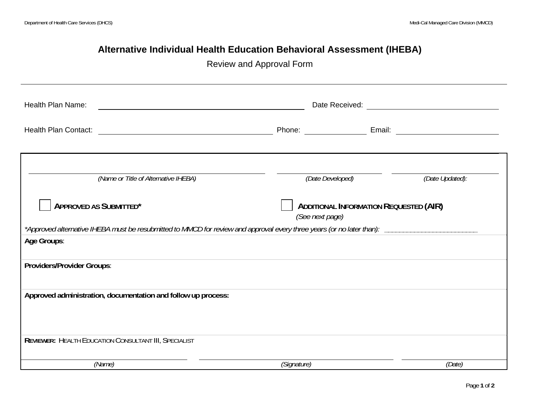## **Alternative Individual Health Education Behavioral Assessment (IHEBA)**

Review and Approval Form

| Health Plan Name:                                             |                  |                                               |  |  |  |
|---------------------------------------------------------------|------------------|-----------------------------------------------|--|--|--|
|                                                               |                  |                                               |  |  |  |
|                                                               |                  |                                               |  |  |  |
| (Name or Title of Alternative IHEBA)                          | (Date Developed) | (Date Updated):                               |  |  |  |
| <b>APPROVED AS SUBMITTED*</b>                                 | (See next page)  | <b>ADDITIONAL INFORMATION REQUESTED (AIR)</b> |  |  |  |
|                                                               |                  |                                               |  |  |  |
| Age Groups:                                                   |                  |                                               |  |  |  |
| Providers/Provider Groups:                                    |                  |                                               |  |  |  |
| Approved administration, documentation and follow up process: |                  |                                               |  |  |  |
| REVIEWER: HEALTH EDUCATION CONSULTANT III, SPECIALIST         |                  |                                               |  |  |  |
| (Name)                                                        | (Signature)      | (Date)                                        |  |  |  |